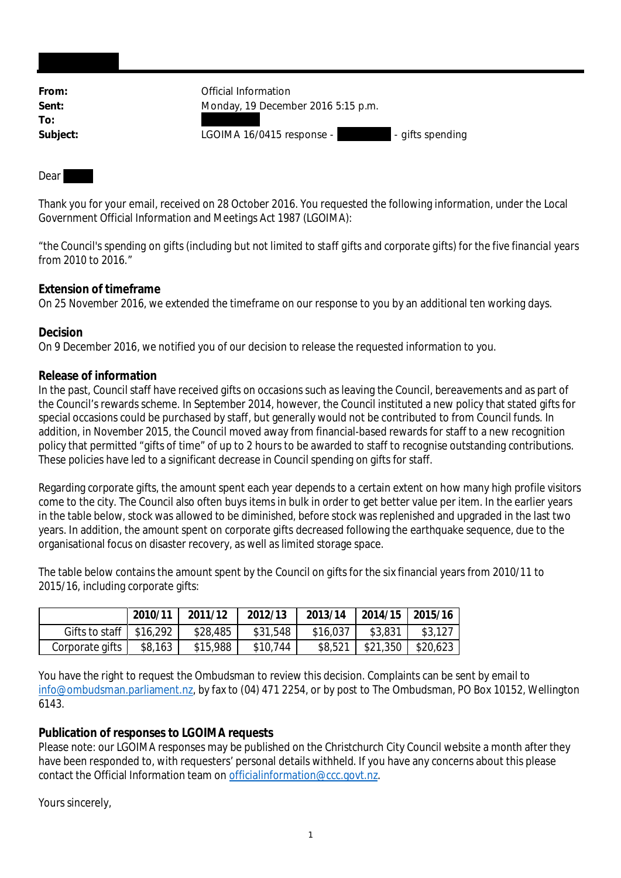| From:    |
|----------|
| Sent:    |
| To:      |
| Subject: |

**Official Information Sent:** Monday, 19 December 2016 5:15 p.m.

LGOIMA 16/0415 response - **All and Subject:** - gifts spending

### Dear

Thank you for your email, received on 28 October 2016. You requested the following information, under the Local Government Official Information and Meetings Act 1987 (LGOIMA):

"*the Council's spending on gifts (including but not limited to staff gifts and corporate gifts) for the five financial years from 2010 to 2016.*"

## **Extension of timeframe**

On 25 November 2016, we extended the timeframe on our response to you by an additional ten working days.

## **Decision**

On 9 December 2016, we notified you of our decision to release the requested information to you.

## **Release of information**

In the past, Council staff have received gifts on occasions such as leaving the Council, bereavements and as part of the Council's rewards scheme. In September 2014, however, the Council instituted a new policy that stated gifts for special occasions could be purchased by staff, but generally would not be contributed to from Council funds. In addition, in November 2015, the Council moved away from financial-based rewards for staff to a new recognition policy that permitted "gifts of time" of up to 2 hours to be awarded to staff to recognise outstanding contributions. These policies have led to a significant decrease in Council spending on gifts for staff.

Regarding corporate gifts, the amount spent each year depends to a certain extent on how many high profile visitors come to the city. The Council also often buys items in bulk in order to get better value per item. In the earlier years in the table below, stock was allowed to be diminished, before stock was replenished and upgraded in the last two years. In addition, the amount spent on corporate gifts decreased following the earthquake sequence, due to the organisational focus on disaster recovery, as well as limited storage space.

The table below contains the amount spent by the Council on gifts for the six financial years from 2010/11 to 2015/16, including corporate gifts:

|                 | 2010/11  | 2011/12  | 2012/13  | 2013/14  | $12014/15$   2015/16 |          |
|-----------------|----------|----------|----------|----------|----------------------|----------|
| Gifts to staff  | \$16,292 | \$28,485 | \$31,548 | \$16,037 | \$3,831              | \$3,127  |
| Corporate gifts | \$8,163  | \$15,988 | \$10,744 | \$8,521  | \$21,350             | \$20,623 |

You have the right to request the Ombudsman to review this decision. Complaints can be sent by email to info@ombudsman.parliament.nz, by fax to (04) 471 2254, or by post to The Ombudsman, PO Box 10152, Wellington 6143.

# **Publication of responses to LGOIMA requests**

Please note: our LGOIMA responses may be published on the Christchurch City Council website a month after they have been responded to, with requesters' personal details withheld. If you have any concerns about this please contact the Official Information team on officialinformation@ccc.govt.nz.

Yours sincerely,